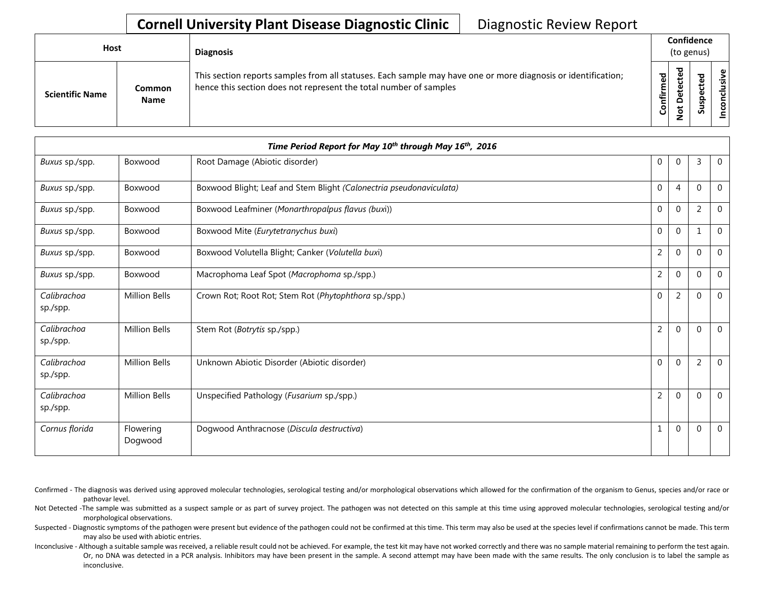## **Cornell University Plant Disease Diagnostic Clinic** | Diagnostic Review Report

| <b>Host</b>            |                       | <b>Diagnosis</b>                                                                                                                                                                   |           | Confidence<br>(to genus) |             |                                                           |
|------------------------|-----------------------|------------------------------------------------------------------------------------------------------------------------------------------------------------------------------------|-----------|--------------------------|-------------|-----------------------------------------------------------|
| <b>Scientific Name</b> | Common<br><b>Name</b> | This section reports samples from all statuses. Each sample may have one or more diagnosis or identification;<br>hence this section does not represent the total number of samples | Confirmed | ᇃ<br>≏<br>سە             | Q<br>š<br>ശ | $\tilde{\mathbf{z}}$<br>$\overline{\mathbf{s}}$<br>nconcl |

|                         |                      | Time Period Report for May 10 <sup>th</sup> through May 16 <sup>th</sup> , 2016 |                |                |                |                |
|-------------------------|----------------------|---------------------------------------------------------------------------------|----------------|----------------|----------------|----------------|
| Buxus sp./spp.          | Boxwood              | Root Damage (Abiotic disorder)                                                  | 0              | $\overline{0}$ | $\overline{3}$ | $\overline{0}$ |
| Buxus sp./spp.          | Boxwood              | Boxwood Blight; Leaf and Stem Blight (Calonectria pseudonaviculata)             | $\mathbf 0$    | $\overline{4}$ | $\mathbf 0$    | $\mathbf 0$    |
| Buxus sp./spp.          | Boxwood              | Boxwood Leafminer (Monarthropalpus flavus (buxi))                               | $\pmb{0}$      | 0              | $\overline{2}$ | $\mathbf 0$    |
| Buxus sp./spp.          | Boxwood              | Boxwood Mite (Eurytetranychus buxi)                                             | $\mathbf{0}$   | $\mathbf{0}$   | $\mathbf 1$    | $\mathbf 0$    |
| Buxus sp./spp.          | Boxwood              | Boxwood Volutella Blight; Canker (Volutella buxi)                               | $\overline{2}$ | $\mathbf{0}$   | $\Omega$       | $\Omega$       |
| Buxus sp./spp.          | Boxwood              | Macrophoma Leaf Spot (Macrophoma sp./spp.)                                      | $\overline{2}$ | $\mathbf{0}$   | $\mathbf 0$    | $\Omega$       |
| Calibrachoa<br>sp./spp. | <b>Million Bells</b> | Crown Rot; Root Rot; Stem Rot (Phytophthora sp./spp.)                           | 0              | $\overline{2}$ | $\Omega$       | $\Omega$       |
| Calibrachoa<br>sp./spp. | <b>Million Bells</b> | Stem Rot (Botrytis sp./spp.)                                                    | $\overline{2}$ | $\mathbf 0$    | $\Omega$       | $\Omega$       |
| Calibrachoa<br>sp./spp. | <b>Million Bells</b> | Unknown Abiotic Disorder (Abiotic disorder)                                     | $\mathbf 0$    | $\mathbf{0}$   | $\overline{2}$ | $\Omega$       |
| Calibrachoa<br>sp./spp. | <b>Million Bells</b> | Unspecified Pathology (Fusarium sp./spp.)                                       | $\overline{2}$ | $\mathbf{0}$   | $\mathbf 0$    | $\Omega$       |
| Cornus florida          | Flowering<br>Dogwood | Dogwood Anthracnose (Discula destructiva)                                       | 1              | $\mathbf{0}$   | $\Omega$       | $\Omega$       |

Confirmed - The diagnosis was derived using approved molecular technologies, serological testing and/or morphological observations which allowed for the confirmation of the organism to Genus, species and/or race or pathovar level.

Not Detected -The sample was submitted as a suspect sample or as part of survey project. The pathogen was not detected on this sample at this time using approved molecular technologies, serological testing and/or morphological observations.

Suspected - Diagnostic symptoms of the pathogen were present but evidence of the pathogen could not be confirmed at this time. This term may also be used at the species level if confirmations cannot be made. This term may also be used with abiotic entries.

Inconclusive - Although a suitable sample was received, a reliable result could not be achieved. For example, the test kit may have not worked correctly and there was no sample material remaining to perform the test again. Or, no DNA was detected in a PCR analysis. Inhibitors may have been present in the sample. A second attempt may have been made with the same results. The only conclusion is to label the sample as inconclusive.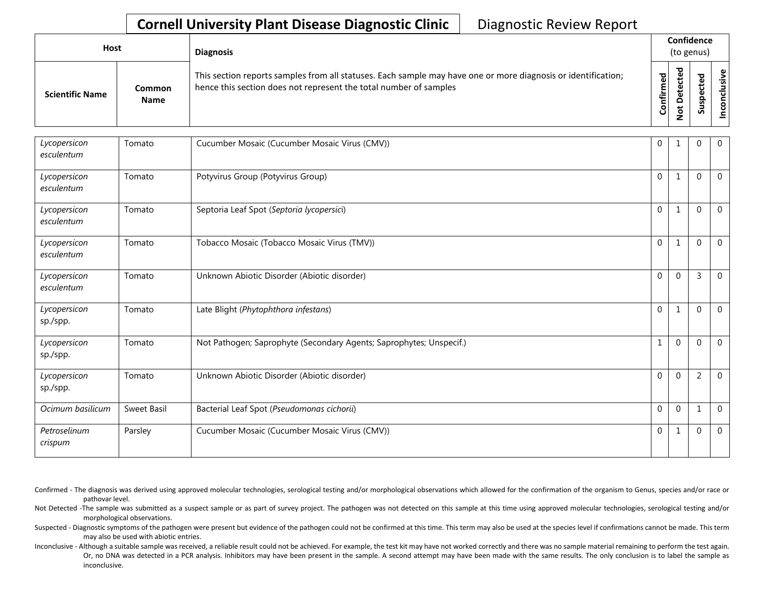## **Cornell University Plant Disease Diagnostic Clinic** | Diagnostic Review Report

| <b>Host</b>            |                       | <b>Diagnosis</b>                                                                                                                                                                   |           |                                                 | Confidence<br>(to genus) |                 |
|------------------------|-----------------------|------------------------------------------------------------------------------------------------------------------------------------------------------------------------------------|-----------|-------------------------------------------------|--------------------------|-----------------|
| <b>Scientific Name</b> | Common<br><b>Name</b> | This section reports samples from all statuses. Each sample may have one or more diagnosis or identification;<br>hence this section does not represent the total number of samples | Confirmed | ъ<br>ن<br>Φ<br>ىپ<br>$\Omega$<br>پ<br>$\bullet$ | ທ                        | ω<br>usiv<br>᠊ᠣ |

| Lycopersicon<br>esculentum | Tomato             | Cucumber Mosaic (Cucumber Mosaic Virus (CMV))                       | $\mathbf 0$  |              | $\mathbf{0}$   | $\mathbf 0$    |
|----------------------------|--------------------|---------------------------------------------------------------------|--------------|--------------|----------------|----------------|
| Lycopersicon<br>esculentum | Tomato             | Potyvirus Group (Potyvirus Group)                                   | $\mathbf{0}$ | 1            | $\Omega$       | $\overline{0}$ |
| Lycopersicon<br>esculentum | Tomato             | Septoria Leaf Spot (Septoria lycopersici)                           | $\mathbf{0}$ |              | $\Omega$       | $\overline{0}$ |
| Lycopersicon<br>esculentum | Tomato             | Tobacco Mosaic (Tobacco Mosaic Virus (TMV))                         | $\mathbf 0$  | $\mathbf{1}$ | $\mathbf{0}$   | $\overline{0}$ |
| Lycopersicon<br>esculentum | Tomato             | Unknown Abiotic Disorder (Abiotic disorder)                         | $\mathbf{0}$ | $\mathbf 0$  | $\overline{3}$ | $\overline{0}$ |
| Lycopersicon<br>sp./spp.   | Tomato             | Late Blight (Phytophthora infestans)                                | $\mathbf{0}$ | $\mathbf{1}$ | $\Omega$       | $\overline{0}$ |
| Lycopersicon<br>sp./spp.   | Tomato             | Not Pathogen; Saprophyte (Secondary Agents; Saprophytes; Unspecif.) |              | $\mathbf 0$  | $\Omega$       | $\overline{0}$ |
| Lycopersicon<br>sp./spp.   | Tomato             | Unknown Abiotic Disorder (Abiotic disorder)                         | $\mathbf{0}$ | $\mathbf{0}$ | $\overline{2}$ | $\overline{0}$ |
| Ocimum basilicum           | <b>Sweet Basil</b> | Bacterial Leaf Spot (Pseudomonas cichorii)                          | $\mathbf{0}$ | $\mathbf{0}$ | $\mathbf{1}$   | $\overline{0}$ |
| Petroselinum<br>crispum    | Parsley            | Cucumber Mosaic (Cucumber Mosaic Virus (CMV))                       | 0            | 1            | $\mathbf{0}$   | $\mathbf 0$    |

Confirmed - The diagnosis was derived using approved molecular technologies, serological testing and/or morphological observations which allowed for the confirmation of the organism to Genus, species and/or race or pathovar level.

Not Detected -The sample was submitted as a suspect sample or as part of survey project. The pathogen was not detected on this sample at this time using approved molecular technologies, serological testing and/or morphological observations.

Suspected - Diagnostic symptoms of the pathogen were present but evidence of the pathogen could not be confirmed at this time. This term may also be used at the species level if confirmations cannot be made. This term may also be used with abiotic entries.

Inconclusive - Although a suitable sample was received, a reliable result could not be achieved. For example, the test kit may have not worked correctly and there was no sample material remaining to perform the test again. Or, no DNA was detected in a PCR analysis. Inhibitors may have been present in the sample. A second attempt may have been made with the same results. The only conclusion is to label the sample as inconclusive.